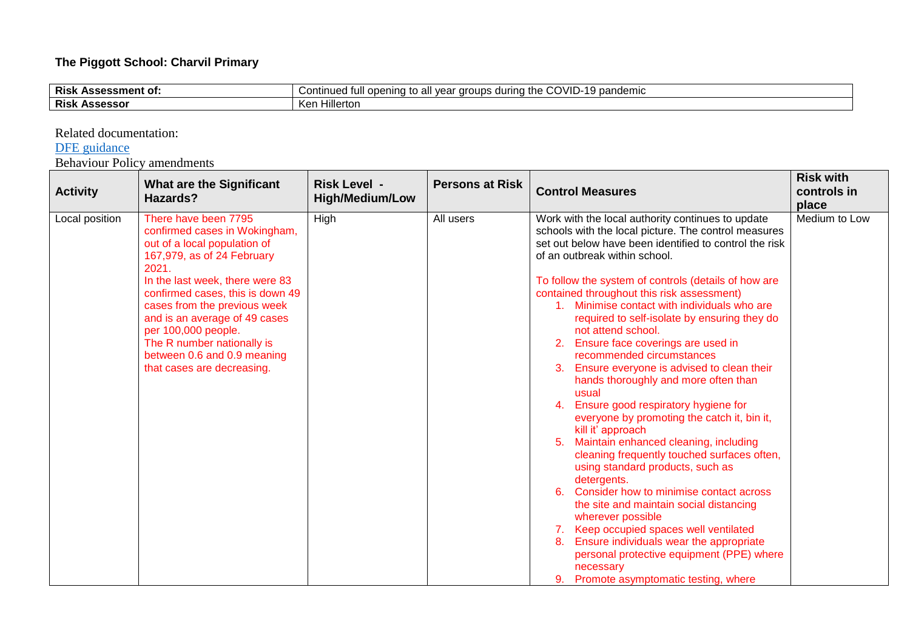## **The Piggott School: Charvil Primary**

| <b>Risl</b><br>Assessment of:  | −UVID- <sup>1</sup> ′<br>I pandemic<br>the<br>ontin<br>ATAIDC<br>nnan<br>⊿ all ve≥″<br>iued<br>100<br>™∩∩<br>uuus<br><br>------<br>uuci<br>◡◡<br>uu:<br>w |
|--------------------------------|-----------------------------------------------------------------------------------------------------------------------------------------------------------|
| <b>Risk</b><br><b>Assessor</b> | .<br>lillerton<br>Ken                                                                                                                                     |

Related documentation:

## [DFE guidance](https://www.gov.uk/government/publications/actions-for-schools-during-the-coronavirus-outbreak/guidance-for-full-opening-schools)

Behaviour Policy amendments

| <b>Activity</b> | <b>What are the Significant</b><br>Hazards?                                                                                                                                                                                                                                                                                                                                            | <b>Risk Level -</b><br><b>High/Medium/Low</b> | <b>Persons at Risk</b> | <b>Control Measures</b>                                                                                                                                                                                                                                                                                                                                                                                                                                                                                                                                                                                                                                                                                                                                                                                                                                                                                                                                                                                                                                                | <b>Risk with</b><br>controls in<br>place |
|-----------------|----------------------------------------------------------------------------------------------------------------------------------------------------------------------------------------------------------------------------------------------------------------------------------------------------------------------------------------------------------------------------------------|-----------------------------------------------|------------------------|------------------------------------------------------------------------------------------------------------------------------------------------------------------------------------------------------------------------------------------------------------------------------------------------------------------------------------------------------------------------------------------------------------------------------------------------------------------------------------------------------------------------------------------------------------------------------------------------------------------------------------------------------------------------------------------------------------------------------------------------------------------------------------------------------------------------------------------------------------------------------------------------------------------------------------------------------------------------------------------------------------------------------------------------------------------------|------------------------------------------|
| Local position  | There have been 7795<br>confirmed cases in Wokingham,<br>out of a local population of<br>167,979, as of 24 February<br>2021.<br>In the last week, there were 83<br>confirmed cases, this is down 49<br>cases from the previous week<br>and is an average of 49 cases<br>per 100,000 people.<br>The R number nationally is<br>between 0.6 and 0.9 meaning<br>that cases are decreasing. | High                                          | All users              | Work with the local authority continues to update<br>schools with the local picture. The control measures<br>set out below have been identified to control the risk<br>of an outbreak within school.<br>To follow the system of controls (details of how are<br>contained throughout this risk assessment)<br>1. Minimise contact with individuals who are<br>required to self-isolate by ensuring they do<br>not attend school.<br>Ensure face coverings are used in<br>recommended circumstances<br>Ensure everyone is advised to clean their<br>hands thoroughly and more often than<br>usual<br>Ensure good respiratory hygiene for<br>4.<br>everyone by promoting the catch it, bin it,<br>kill it' approach<br>Maintain enhanced cleaning, including<br>cleaning frequently touched surfaces often,<br>using standard products, such as<br>detergents.<br>Consider how to minimise contact across<br>the site and maintain social distancing<br>wherever possible<br>Keep occupied spaces well ventilated<br>7.<br>Ensure individuals wear the appropriate<br>8. | Medium to Low                            |
|                 |                                                                                                                                                                                                                                                                                                                                                                                        |                                               |                        | personal protective equipment (PPE) where<br>necessary<br>Promote asymptomatic testing, where                                                                                                                                                                                                                                                                                                                                                                                                                                                                                                                                                                                                                                                                                                                                                                                                                                                                                                                                                                          |                                          |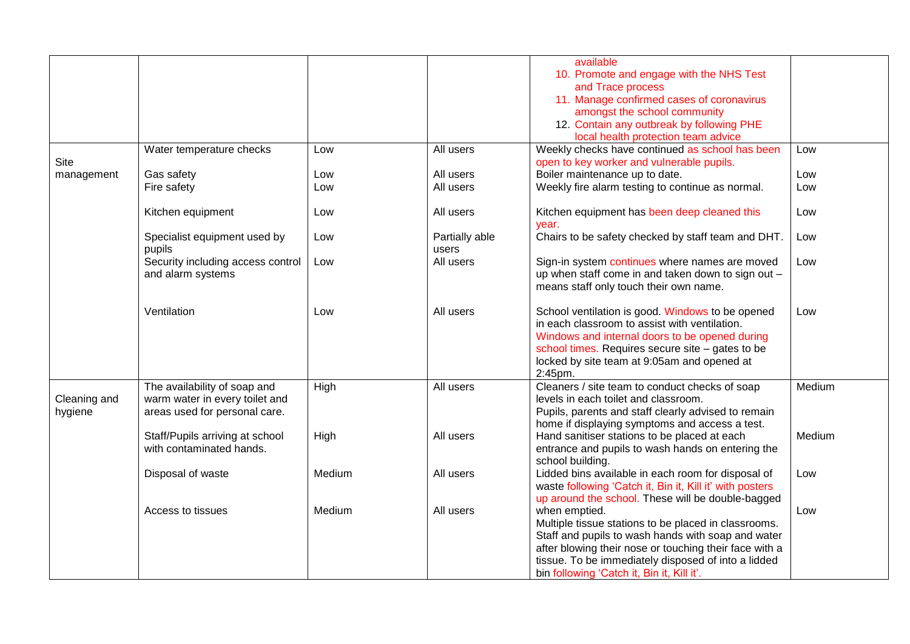|              |                                   |        |                | available                                                |        |
|--------------|-----------------------------------|--------|----------------|----------------------------------------------------------|--------|
|              |                                   |        |                | 10. Promote and engage with the NHS Test                 |        |
|              |                                   |        |                | and Trace process                                        |        |
|              |                                   |        |                | 11. Manage confirmed cases of coronavirus                |        |
|              |                                   |        |                |                                                          |        |
|              |                                   |        |                | amongst the school community                             |        |
|              |                                   |        |                | 12. Contain any outbreak by following PHE                |        |
|              |                                   |        |                | local health protection team advice                      |        |
|              | Water temperature checks          | Low    | All users      | Weekly checks have continued as school has been          | Low    |
| Site         |                                   |        |                | open to key worker and vulnerable pupils.                |        |
| management   | Gas safety                        | Low    | All users      | Boiler maintenance up to date.                           | Low    |
|              | Fire safety                       | Low    | All users      | Weekly fire alarm testing to continue as normal.         | Low    |
|              |                                   |        |                |                                                          |        |
|              | Kitchen equipment                 | Low    | All users      | Kitchen equipment has been deep cleaned this             | Low    |
|              |                                   |        |                | year.                                                    |        |
|              | Specialist equipment used by      | Low    | Partially able | Chairs to be safety checked by staff team and DHT.       | Low    |
|              | pupils                            |        | users          |                                                          |        |
|              | Security including access control | Low    | All users      | Sign-in system continues where names are moved           | Low    |
|              | and alarm systems                 |        |                | up when staff come in and taken down to sign out -       |        |
|              |                                   |        |                |                                                          |        |
|              |                                   |        |                | means staff only touch their own name.                   |        |
|              | Ventilation                       | Low    | All users      | School ventilation is good. Windows to be opened         | Low    |
|              |                                   |        |                | in each classroom to assist with ventilation.            |        |
|              |                                   |        |                |                                                          |        |
|              |                                   |        |                | Windows and internal doors to be opened during           |        |
|              |                                   |        |                | school times. Requires secure site - gates to be         |        |
|              |                                   |        |                | locked by site team at 9:05am and opened at              |        |
|              |                                   |        |                | 2:45pm.                                                  |        |
|              | The availability of soap and      | High   | All users      | Cleaners / site team to conduct checks of soap           | Medium |
| Cleaning and | warm water in every toilet and    |        |                | levels in each toilet and classroom.                     |        |
| hygiene      | areas used for personal care.     |        |                | Pupils, parents and staff clearly advised to remain      |        |
|              |                                   |        |                | home if displaying symptoms and access a test.           |        |
|              | Staff/Pupils arriving at school   | High   | All users      | Hand sanitiser stations to be placed at each             | Medium |
|              | with contaminated hands.          |        |                | entrance and pupils to wash hands on entering the        |        |
|              |                                   |        |                | school building.                                         |        |
|              | Disposal of waste                 | Medium | All users      | Lidded bins available in each room for disposal of       | Low    |
|              |                                   |        |                | waste following 'Catch it, Bin it, Kill it' with posters |        |
|              |                                   |        |                | up around the school. These will be double-bagged        |        |
|              | Access to tissues                 | Medium | All users      | when emptied.                                            | Low    |
|              |                                   |        |                | Multiple tissue stations to be placed in classrooms.     |        |
|              |                                   |        |                | Staff and pupils to wash hands with soap and water       |        |
|              |                                   |        |                |                                                          |        |
|              |                                   |        |                | after blowing their nose or touching their face with a   |        |
|              |                                   |        |                | tissue. To be immediately disposed of into a lidded      |        |
|              |                                   |        |                | bin following 'Catch it, Bin it, Kill it'.               |        |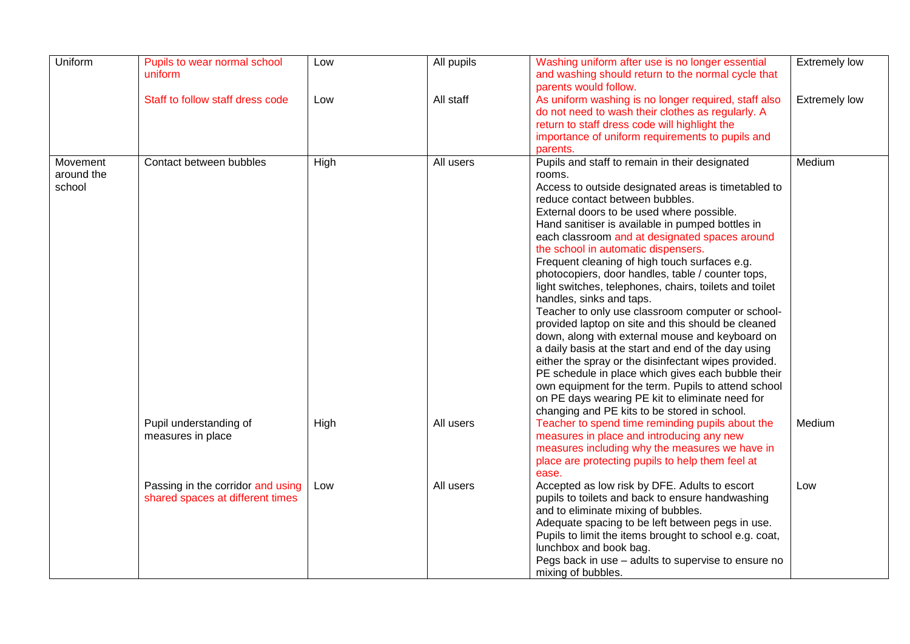| Uniform                          | Pupils to wear normal school<br>uniform                               | Low  | All pupils | Washing uniform after use is no longer essential<br>and washing should return to the normal cycle that<br>parents would follow.                                                                                                                                                                                                                                                                                                                                                                                                                                                                                                                                                                                                                                                                                                                                                                                                                                                                                                       | <b>Extremely low</b> |
|----------------------------------|-----------------------------------------------------------------------|------|------------|---------------------------------------------------------------------------------------------------------------------------------------------------------------------------------------------------------------------------------------------------------------------------------------------------------------------------------------------------------------------------------------------------------------------------------------------------------------------------------------------------------------------------------------------------------------------------------------------------------------------------------------------------------------------------------------------------------------------------------------------------------------------------------------------------------------------------------------------------------------------------------------------------------------------------------------------------------------------------------------------------------------------------------------|----------------------|
|                                  | Staff to follow staff dress code                                      | Low  | All staff  | As uniform washing is no longer required, staff also<br>do not need to wash their clothes as regularly. A<br>return to staff dress code will highlight the<br>importance of uniform requirements to pupils and<br>parents.                                                                                                                                                                                                                                                                                                                                                                                                                                                                                                                                                                                                                                                                                                                                                                                                            | <b>Extremely low</b> |
| Movement<br>around the<br>school | Contact between bubbles                                               | High | All users  | Pupils and staff to remain in their designated<br>rooms.<br>Access to outside designated areas is timetabled to<br>reduce contact between bubbles.<br>External doors to be used where possible.<br>Hand sanitiser is available in pumped bottles in<br>each classroom and at designated spaces around<br>the school in automatic dispensers.<br>Frequent cleaning of high touch surfaces e.g.<br>photocopiers, door handles, table / counter tops,<br>light switches, telephones, chairs, toilets and toilet<br>handles, sinks and taps.<br>Teacher to only use classroom computer or school-<br>provided laptop on site and this should be cleaned<br>down, along with external mouse and keyboard on<br>a daily basis at the start and end of the day using<br>either the spray or the disinfectant wipes provided.<br>PE schedule in place which gives each bubble their<br>own equipment for the term. Pupils to attend school<br>on PE days wearing PE kit to eliminate need for<br>changing and PE kits to be stored in school. | Medium               |
|                                  | Pupil understanding of<br>measures in place                           | High | All users  | Teacher to spend time reminding pupils about the<br>measures in place and introducing any new<br>measures including why the measures we have in<br>place are protecting pupils to help them feel at<br>ease.                                                                                                                                                                                                                                                                                                                                                                                                                                                                                                                                                                                                                                                                                                                                                                                                                          | Medium               |
|                                  | Passing in the corridor and using<br>shared spaces at different times | Low  | All users  | Accepted as low risk by DFE. Adults to escort<br>pupils to toilets and back to ensure handwashing<br>and to eliminate mixing of bubbles.<br>Adequate spacing to be left between pegs in use.<br>Pupils to limit the items brought to school e.g. coat,<br>lunchbox and book bag.<br>Pegs back in use - adults to supervise to ensure no<br>mixing of bubbles.                                                                                                                                                                                                                                                                                                                                                                                                                                                                                                                                                                                                                                                                         | Low                  |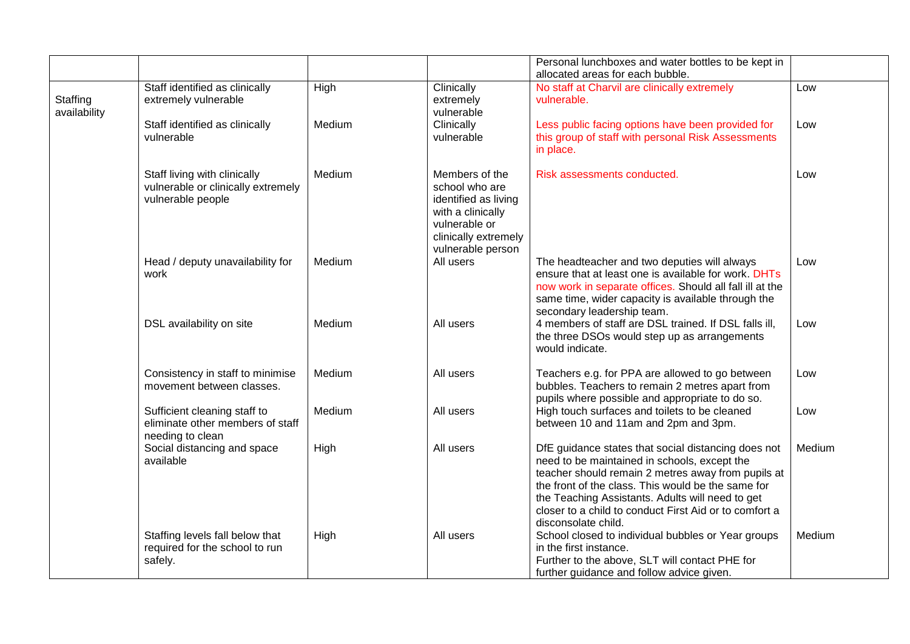|                          |                                                                                         |        |                                                                                                                                             | Personal lunchboxes and water bottles to be kept in<br>allocated areas for each bubble.                                                                                                                                                                                                                                                              |        |
|--------------------------|-----------------------------------------------------------------------------------------|--------|---------------------------------------------------------------------------------------------------------------------------------------------|------------------------------------------------------------------------------------------------------------------------------------------------------------------------------------------------------------------------------------------------------------------------------------------------------------------------------------------------------|--------|
| Staffing<br>availability | Staff identified as clinically<br>extremely vulnerable                                  | High   | Clinically<br>extremely<br>vulnerable                                                                                                       | No staff at Charvil are clinically extremely<br>vulnerable.                                                                                                                                                                                                                                                                                          | Low    |
|                          | Staff identified as clinically<br>vulnerable                                            | Medium | Clinically<br>vulnerable                                                                                                                    | Less public facing options have been provided for<br>this group of staff with personal Risk Assessments<br>in place.                                                                                                                                                                                                                                 | Low    |
|                          | Staff living with clinically<br>vulnerable or clinically extremely<br>vulnerable people | Medium | Members of the<br>school who are<br>identified as living<br>with a clinically<br>vulnerable or<br>clinically extremely<br>vulnerable person | Risk assessments conducted.                                                                                                                                                                                                                                                                                                                          | Low    |
|                          | Head / deputy unavailability for<br>work                                                | Medium | All users                                                                                                                                   | The headteacher and two deputies will always<br>ensure that at least one is available for work. DHTs<br>now work in separate offices. Should all fall ill at the<br>same time, wider capacity is available through the<br>secondary leadership team.                                                                                                 | Low    |
|                          | DSL availability on site                                                                | Medium | All users                                                                                                                                   | 4 members of staff are DSL trained. If DSL falls ill,<br>the three DSOs would step up as arrangements<br>would indicate.                                                                                                                                                                                                                             | Low    |
|                          | Consistency in staff to minimise<br>movement between classes.                           | Medium | All users                                                                                                                                   | Teachers e.g. for PPA are allowed to go between<br>bubbles. Teachers to remain 2 metres apart from<br>pupils where possible and appropriate to do so.                                                                                                                                                                                                | Low    |
|                          | Sufficient cleaning staff to<br>eliminate other members of staff<br>needing to clean    | Medium | All users                                                                                                                                   | High touch surfaces and toilets to be cleaned<br>between 10 and 11am and 2pm and 3pm.                                                                                                                                                                                                                                                                | Low    |
|                          | Social distancing and space<br>available                                                | High   | All users                                                                                                                                   | DfE guidance states that social distancing does not<br>need to be maintained in schools, except the<br>teacher should remain 2 metres away from pupils at<br>the front of the class. This would be the same for<br>the Teaching Assistants. Adults will need to get<br>closer to a child to conduct First Aid or to comfort a<br>disconsolate child. | Medium |
|                          | Staffing levels fall below that<br>required for the school to run<br>safely.            | High   | All users                                                                                                                                   | School closed to individual bubbles or Year groups<br>in the first instance.<br>Further to the above, SLT will contact PHE for<br>further guidance and follow advice given.                                                                                                                                                                          | Medium |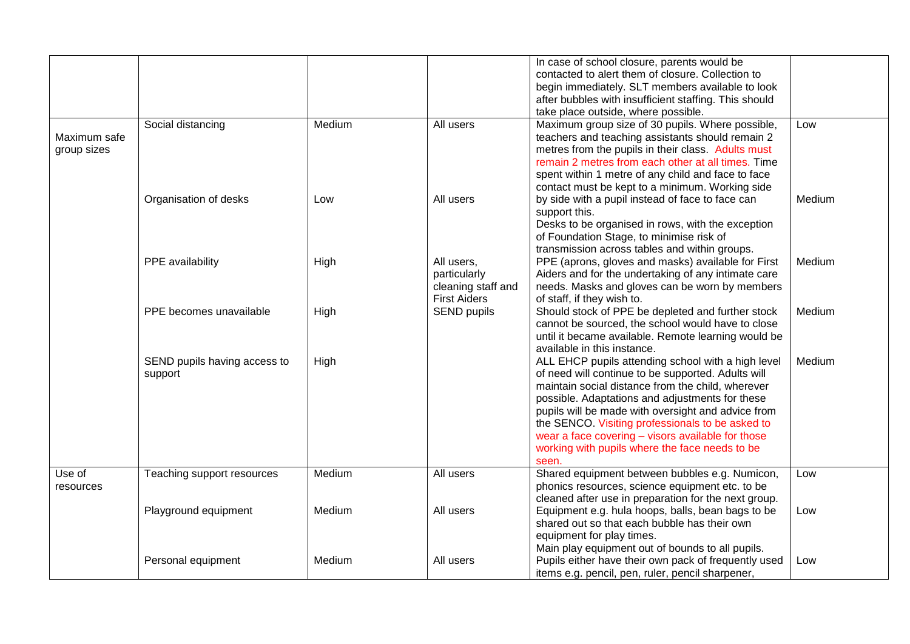|                             |                                         |        |                                                                         | In case of school closure, parents would be<br>contacted to alert them of closure. Collection to<br>begin immediately. SLT members available to look<br>after bubbles with insufficient staffing. This should<br>take place outside, where possible.                                                                                                                                                                                       |        |
|-----------------------------|-----------------------------------------|--------|-------------------------------------------------------------------------|--------------------------------------------------------------------------------------------------------------------------------------------------------------------------------------------------------------------------------------------------------------------------------------------------------------------------------------------------------------------------------------------------------------------------------------------|--------|
| Maximum safe<br>group sizes | Social distancing                       | Medium | All users                                                               | Maximum group size of 30 pupils. Where possible,<br>teachers and teaching assistants should remain 2<br>metres from the pupils in their class. Adults must<br>remain 2 metres from each other at all times. Time<br>spent within 1 metre of any child and face to face<br>contact must be kept to a minimum. Working side                                                                                                                  | Low    |
|                             | Organisation of desks                   | Low    | All users                                                               | by side with a pupil instead of face to face can<br>support this.<br>Desks to be organised in rows, with the exception<br>of Foundation Stage, to minimise risk of<br>transmission across tables and within groups.                                                                                                                                                                                                                        | Medium |
|                             | PPE availability                        | High   | All users,<br>particularly<br>cleaning staff and<br><b>First Aiders</b> | PPE (aprons, gloves and masks) available for First<br>Aiders and for the undertaking of any intimate care<br>needs. Masks and gloves can be worn by members<br>of staff, if they wish to.                                                                                                                                                                                                                                                  | Medium |
|                             | PPE becomes unavailable                 | High   | <b>SEND pupils</b>                                                      | Should stock of PPE be depleted and further stock<br>cannot be sourced, the school would have to close<br>until it became available. Remote learning would be<br>available in this instance.                                                                                                                                                                                                                                               | Medium |
|                             | SEND pupils having access to<br>support | High   |                                                                         | ALL EHCP pupils attending school with a high level<br>of need will continue to be supported. Adults will<br>maintain social distance from the child, wherever<br>possible. Adaptations and adjustments for these<br>pupils will be made with oversight and advice from<br>the SENCO. Visiting professionals to be asked to<br>wear a face covering - visors available for those<br>working with pupils where the face needs to be<br>seen. | Medium |
| Use of<br>resources         | Teaching support resources              | Medium | All users                                                               | Shared equipment between bubbles e.g. Numicon,<br>phonics resources, science equipment etc. to be<br>cleaned after use in preparation for the next group.                                                                                                                                                                                                                                                                                  | Low    |
|                             | Playground equipment                    | Medium | All users                                                               | Equipment e.g. hula hoops, balls, bean bags to be<br>shared out so that each bubble has their own<br>equipment for play times.<br>Main play equipment out of bounds to all pupils.                                                                                                                                                                                                                                                         | Low    |
|                             | Personal equipment                      | Medium | All users                                                               | Pupils either have their own pack of frequently used<br>items e.g. pencil, pen, ruler, pencil sharpener,                                                                                                                                                                                                                                                                                                                                   | Low    |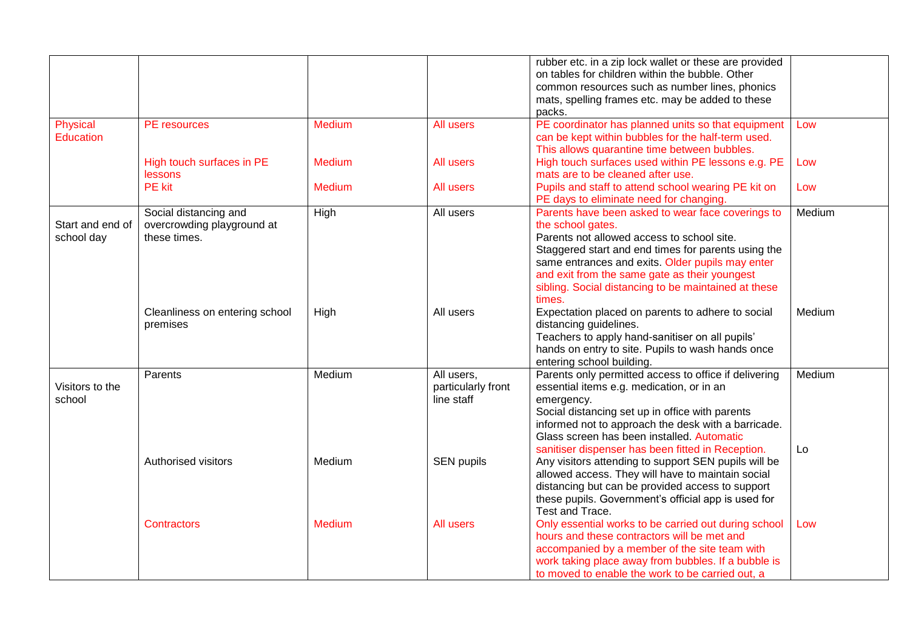|                  |                                |               |                    | rubber etc. in a zip lock wallet or these are provided |        |
|------------------|--------------------------------|---------------|--------------------|--------------------------------------------------------|--------|
|                  |                                |               |                    | on tables for children within the bubble. Other        |        |
|                  |                                |               |                    | common resources such as number lines, phonics         |        |
|                  |                                |               |                    | mats, spelling frames etc. may be added to these       |        |
|                  |                                |               |                    | packs.                                                 |        |
| Physical         | PE resources                   | <b>Medium</b> | All users          | PE coordinator has planned units so that equipment     | Low    |
| <b>Education</b> |                                |               |                    | can be kept within bubbles for the half-term used.     |        |
|                  |                                |               |                    | This allows quarantine time between bubbles.           |        |
|                  | High touch surfaces in PE      | <b>Medium</b> | All users          | High touch surfaces used within PE lessons e.g. PE     | Low    |
|                  | lessons                        |               |                    | mats are to be cleaned after use.                      |        |
|                  | <b>PE</b> kit                  | Medium        | All users          | Pupils and staff to attend school wearing PE kit on    | Low    |
|                  |                                |               |                    | PE days to eliminate need for changing.                |        |
|                  | Social distancing and          | High          | All users          | Parents have been asked to wear face coverings to      | Medium |
| Start and end of | overcrowding playground at     |               |                    | the school gates.                                      |        |
| school day       | these times.                   |               |                    | Parents not allowed access to school site.             |        |
|                  |                                |               |                    | Staggered start and end times for parents using the    |        |
|                  |                                |               |                    | same entrances and exits. Older pupils may enter       |        |
|                  |                                |               |                    | and exit from the same gate as their youngest          |        |
|                  |                                |               |                    | sibling. Social distancing to be maintained at these   |        |
|                  |                                |               |                    | times.                                                 |        |
|                  | Cleanliness on entering school | High          | All users          | Expectation placed on parents to adhere to social      | Medium |
|                  | premises                       |               |                    | distancing guidelines.                                 |        |
|                  |                                |               |                    | Teachers to apply hand-sanitiser on all pupils'        |        |
|                  |                                |               |                    | hands on entry to site. Pupils to wash hands once      |        |
|                  |                                |               |                    | entering school building.                              |        |
|                  | Parents                        | Medium        | All users,         | Parents only permitted access to office if delivering  | Medium |
| Visitors to the  |                                |               | particularly front | essential items e.g. medication, or in an              |        |
| school           |                                |               | line staff         | emergency.                                             |        |
|                  |                                |               |                    | Social distancing set up in office with parents        |        |
|                  |                                |               |                    | informed not to approach the desk with a barricade.    |        |
|                  |                                |               |                    | Glass screen has been installed. Automatic             |        |
|                  |                                |               |                    | sanitiser dispenser has been fitted in Reception.      | Lo     |
|                  | Authorised visitors            | Medium        | SEN pupils         | Any visitors attending to support SEN pupils will be   |        |
|                  |                                |               |                    | allowed access. They will have to maintain social      |        |
|                  |                                |               |                    | distancing but can be provided access to support       |        |
|                  |                                |               |                    | these pupils. Government's official app is used for    |        |
|                  |                                |               |                    | Test and Trace.                                        |        |
|                  | <b>Contractors</b>             | Medium        | All users          | Only essential works to be carried out during school   | Low    |
|                  |                                |               |                    | hours and these contractors will be met and            |        |
|                  |                                |               |                    | accompanied by a member of the site team with          |        |
|                  |                                |               |                    | work taking place away from bubbles. If a bubble is    |        |
|                  |                                |               |                    | to moved to enable the work to be carried out, a       |        |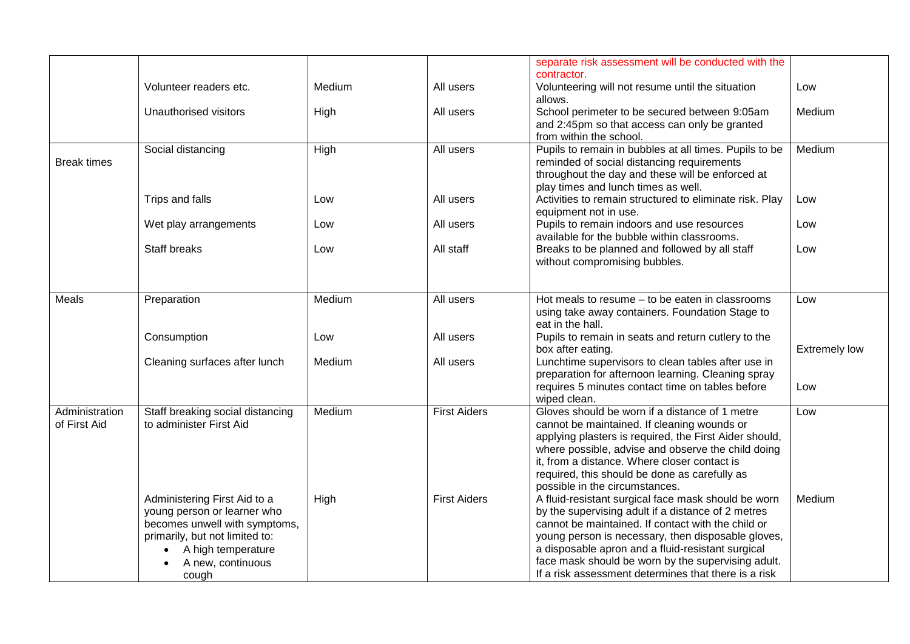|                    |                                  |        |                     | separate risk assessment will be conducted with the                                                        |                      |
|--------------------|----------------------------------|--------|---------------------|------------------------------------------------------------------------------------------------------------|----------------------|
|                    | Volunteer readers etc.           | Medium | All users           | contractor.<br>Volunteering will not resume until the situation                                            | Low                  |
|                    |                                  |        |                     | allows.                                                                                                    |                      |
|                    | Unauthorised visitors            | High   | All users           | School perimeter to be secured between 9:05am                                                              | Medium               |
|                    |                                  |        |                     | and 2:45pm so that access can only be granted                                                              |                      |
|                    |                                  |        | All users           | from within the school.<br>Pupils to remain in bubbles at all times. Pupils to be                          | Medium               |
| <b>Break times</b> | Social distancing                | High   |                     | reminded of social distancing requirements                                                                 |                      |
|                    |                                  |        |                     | throughout the day and these will be enforced at                                                           |                      |
|                    |                                  |        |                     | play times and lunch times as well.                                                                        |                      |
|                    | Trips and falls                  | Low    | All users           | Activities to remain structured to eliminate risk. Play                                                    | Low                  |
|                    |                                  |        |                     | equipment not in use.                                                                                      |                      |
|                    | Wet play arrangements            | Low    | All users           | Pupils to remain indoors and use resources                                                                 | Low                  |
|                    | <b>Staff breaks</b>              |        |                     | available for the bubble within classrooms.                                                                |                      |
|                    |                                  | Low    | All staff           | Breaks to be planned and followed by all staff<br>without compromising bubbles.                            | Low                  |
|                    |                                  |        |                     |                                                                                                            |                      |
|                    |                                  |        |                     |                                                                                                            |                      |
| Meals              | Preparation                      | Medium | All users           | Hot meals to resume – to be eaten in classrooms                                                            | Low                  |
|                    |                                  |        |                     | using take away containers. Foundation Stage to                                                            |                      |
|                    |                                  |        |                     | eat in the hall.                                                                                           |                      |
|                    | Consumption                      | Low    | All users           | Pupils to remain in seats and return cutlery to the                                                        |                      |
|                    | Cleaning surfaces after lunch    | Medium | All users           | box after eating.<br>Lunchtime supervisors to clean tables after use in                                    | <b>Extremely low</b> |
|                    |                                  |        |                     | preparation for afternoon learning. Cleaning spray                                                         |                      |
|                    |                                  |        |                     | requires 5 minutes contact time on tables before                                                           | Low                  |
|                    |                                  |        |                     | wiped clean.                                                                                               |                      |
| Administration     | Staff breaking social distancing | Medium | <b>First Aiders</b> | Gloves should be worn if a distance of 1 metre                                                             | Low                  |
| of First Aid       | to administer First Aid          |        |                     | cannot be maintained. If cleaning wounds or                                                                |                      |
|                    |                                  |        |                     | applying plasters is required, the First Aider should,                                                     |                      |
|                    |                                  |        |                     | where possible, advise and observe the child doing                                                         |                      |
|                    |                                  |        |                     | it, from a distance. Where closer contact is<br>required, this should be done as carefully as              |                      |
|                    |                                  |        |                     | possible in the circumstances.                                                                             |                      |
|                    | Administering First Aid to a     | High   | <b>First Aiders</b> | A fluid-resistant surgical face mask should be worn                                                        | Medium               |
|                    | young person or learner who      |        |                     | by the supervising adult if a distance of 2 metres                                                         |                      |
|                    | becomes unwell with symptoms,    |        |                     | cannot be maintained. If contact with the child or                                                         |                      |
|                    | primarily, but not limited to:   |        |                     | young person is necessary, then disposable gloves,                                                         |                      |
|                    | A high temperature<br>$\bullet$  |        |                     | a disposable apron and a fluid-resistant surgical                                                          |                      |
|                    | A new, continuous                |        |                     | face mask should be worn by the supervising adult.<br>If a risk assessment determines that there is a risk |                      |
|                    | cough                            |        |                     |                                                                                                            |                      |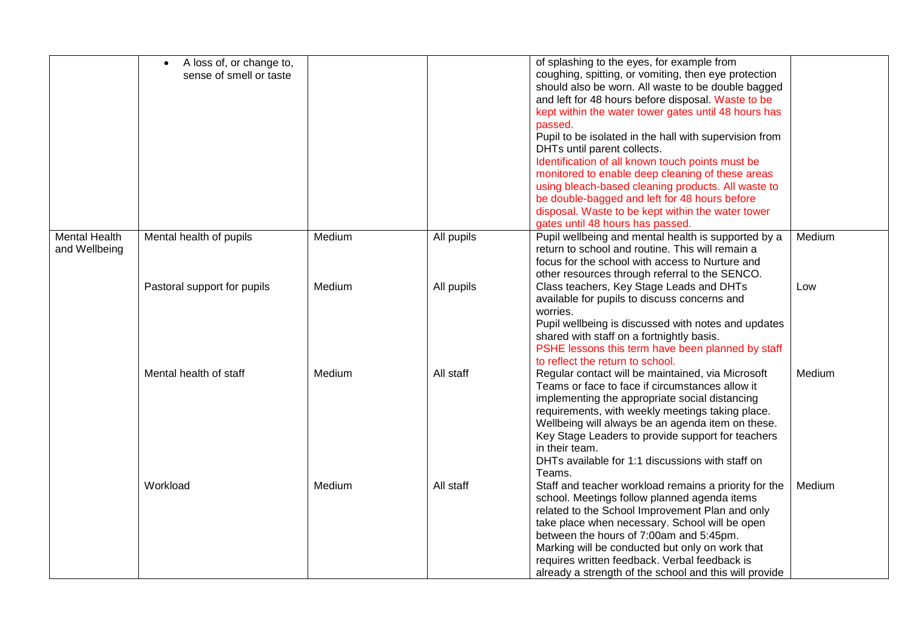|                                       | A loss of, or change to,<br>sense of smell or taste |        |            | of splashing to the eyes, for example from<br>coughing, spitting, or vomiting, then eye protection<br>should also be worn. All waste to be double bagged<br>and left for 48 hours before disposal. Waste to be<br>kept within the water tower gates until 48 hours has<br>passed.<br>Pupil to be isolated in the hall with supervision from<br>DHTs until parent collects.<br>Identification of all known touch points must be<br>monitored to enable deep cleaning of these areas |        |
|---------------------------------------|-----------------------------------------------------|--------|------------|------------------------------------------------------------------------------------------------------------------------------------------------------------------------------------------------------------------------------------------------------------------------------------------------------------------------------------------------------------------------------------------------------------------------------------------------------------------------------------|--------|
|                                       |                                                     |        |            | using bleach-based cleaning products. All waste to<br>be double-bagged and left for 48 hours before<br>disposal. Waste to be kept within the water tower<br>gates until 48 hours has passed.                                                                                                                                                                                                                                                                                       |        |
| <b>Mental Health</b><br>and Wellbeing | Mental health of pupils                             | Medium | All pupils | Pupil wellbeing and mental health is supported by a<br>return to school and routine. This will remain a<br>focus for the school with access to Nurture and<br>other resources through referral to the SENCO.                                                                                                                                                                                                                                                                       | Medium |
|                                       | Pastoral support for pupils                         | Medium | All pupils | Class teachers, Key Stage Leads and DHTs<br>available for pupils to discuss concerns and<br>worries.<br>Pupil wellbeing is discussed with notes and updates<br>shared with staff on a fortnightly basis.<br>PSHE lessons this term have been planned by staff<br>to reflect the return to school.                                                                                                                                                                                  | Low    |
|                                       | Mental health of staff                              | Medium | All staff  | Regular contact will be maintained, via Microsoft<br>Teams or face to face if circumstances allow it<br>implementing the appropriate social distancing<br>requirements, with weekly meetings taking place.<br>Wellbeing will always be an agenda item on these.<br>Key Stage Leaders to provide support for teachers<br>in their team.<br>DHTs available for 1:1 discussions with staff on<br>Teams.                                                                               | Medium |
|                                       | Workload                                            | Medium | All staff  | Staff and teacher workload remains a priority for the<br>school. Meetings follow planned agenda items<br>related to the School Improvement Plan and only<br>take place when necessary. School will be open<br>between the hours of 7:00am and 5:45pm.<br>Marking will be conducted but only on work that<br>requires written feedback. Verbal feedback is<br>already a strength of the school and this will provide                                                                | Medium |